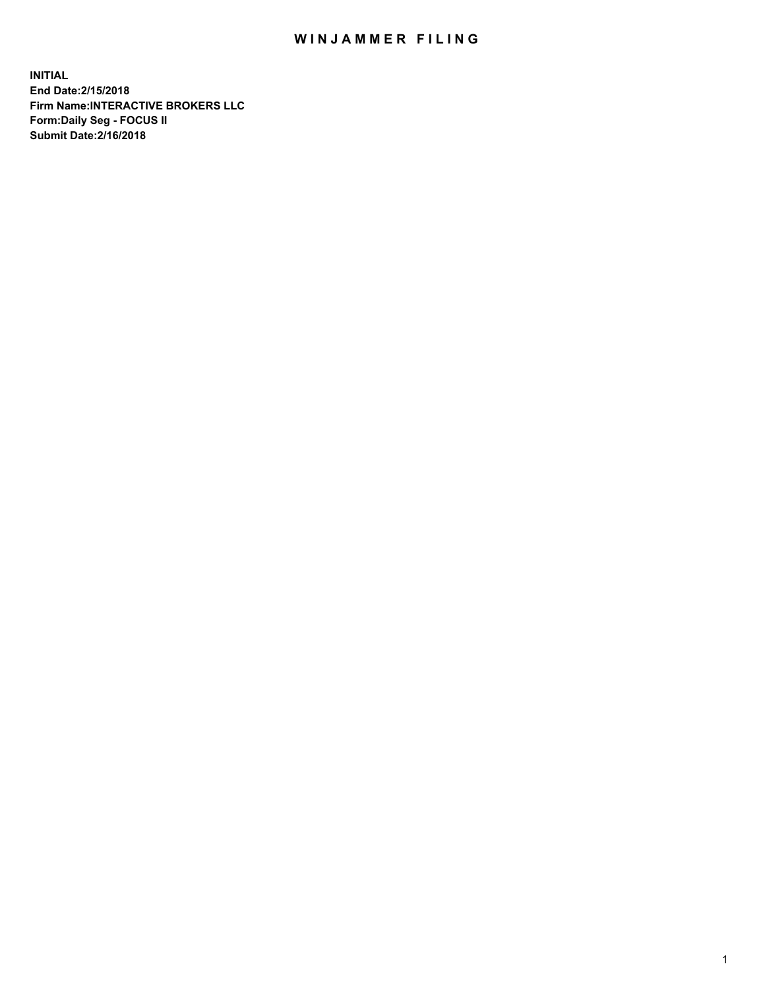## WIN JAMMER FILING

**INITIAL End Date:2/15/2018 Firm Name:INTERACTIVE BROKERS LLC Form:Daily Seg - FOCUS II Submit Date:2/16/2018**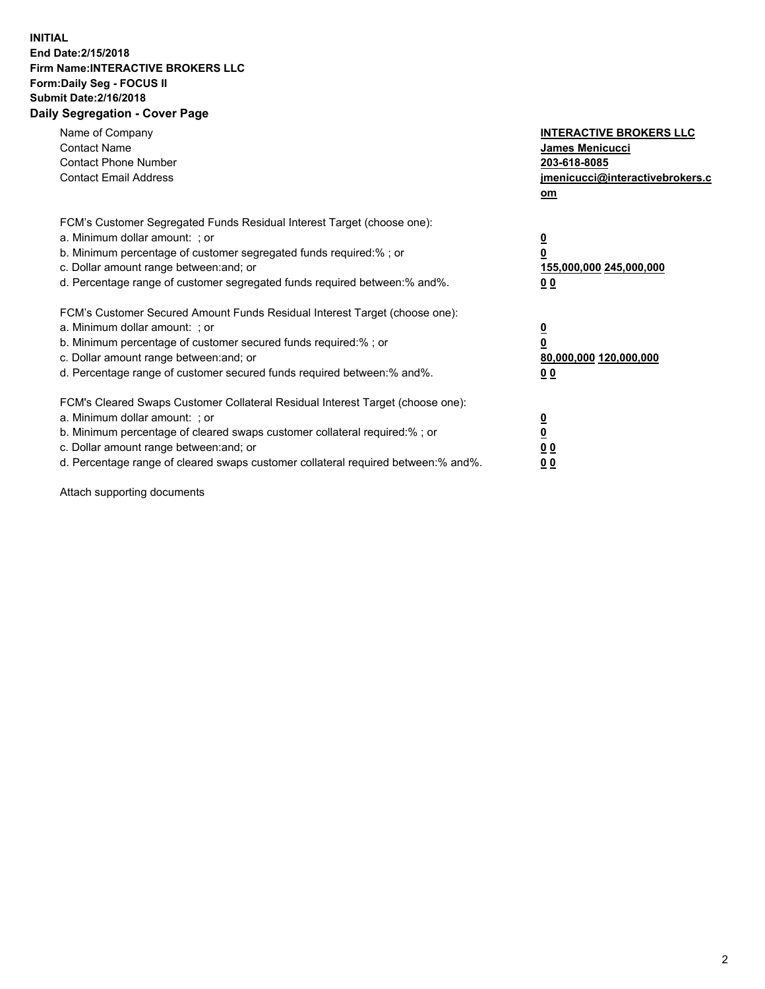## **INITIAL End Date:2/15/2018 Firm Name:INTERACTIVE BROKERS LLC Form:Daily Seg - FOCUS II Submit Date:2/16/2018 Daily Segregation - Cover Page**

| Name of Company<br><b>Contact Name</b><br><b>Contact Phone Number</b>                                                                                                                                                                                                                                                          | <b>INTERACTIVE BROKERS LLC</b><br><b>James Menicucci</b><br>203-618-8085                        |
|--------------------------------------------------------------------------------------------------------------------------------------------------------------------------------------------------------------------------------------------------------------------------------------------------------------------------------|-------------------------------------------------------------------------------------------------|
| <b>Contact Email Address</b>                                                                                                                                                                                                                                                                                                   | jmenicucci@interactivebrokers.c<br>om                                                           |
| FCM's Customer Segregated Funds Residual Interest Target (choose one):<br>a. Minimum dollar amount: ; or<br>b. Minimum percentage of customer segregated funds required:% ; or<br>c. Dollar amount range between: and; or<br>d. Percentage range of customer segregated funds required between:% and%.                         | $\overline{\mathbf{0}}$<br>$\overline{\mathbf{0}}$<br>155,000,000 245,000,000<br>0 <sub>0</sub> |
| FCM's Customer Secured Amount Funds Residual Interest Target (choose one):<br>a. Minimum dollar amount: ; or<br>b. Minimum percentage of customer secured funds required:%; or<br>c. Dollar amount range between: and; or<br>d. Percentage range of customer secured funds required between: % and %.                          | $\overline{\mathbf{0}}$<br>$\overline{\mathbf{0}}$<br>80,000,000 120,000,000<br>0 <sub>0</sub>  |
| FCM's Cleared Swaps Customer Collateral Residual Interest Target (choose one):<br>a. Minimum dollar amount: ; or<br>b. Minimum percentage of cleared swaps customer collateral required:% ; or<br>c. Dollar amount range between: and; or<br>d. Percentage range of cleared swaps customer collateral required between:% and%. | $\overline{\mathbf{0}}$<br>$\underline{\mathbf{0}}$<br>0 <sub>0</sub><br>0 <sup>0</sup>         |

Attach supporting documents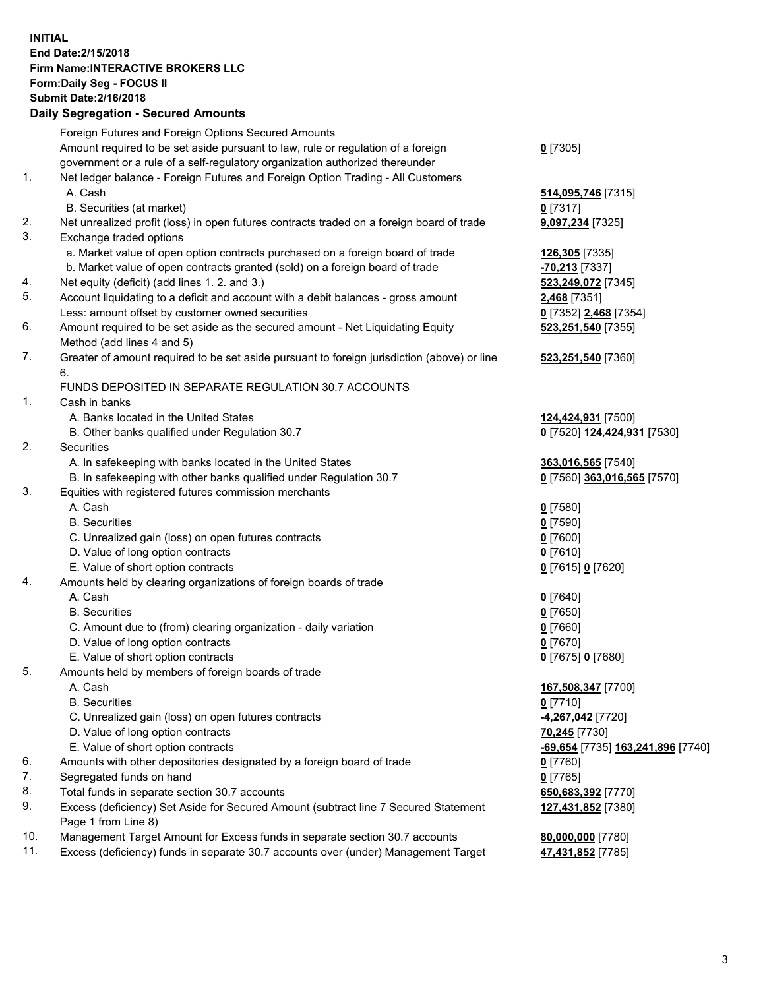## **INITIAL End Date:2/15/2018 Firm Name:INTERACTIVE BROKERS LLC Form:Daily Seg - FOCUS II Submit Date:2/16/2018 Daily Segregation - Secured Amounts**

|     | Daily Segregation - Secured Amounts                                                         |                                   |
|-----|---------------------------------------------------------------------------------------------|-----------------------------------|
|     | Foreign Futures and Foreign Options Secured Amounts                                         |                                   |
|     | Amount required to be set aside pursuant to law, rule or regulation of a foreign            | $0$ [7305]                        |
|     | government or a rule of a self-regulatory organization authorized thereunder                |                                   |
| 1.  | Net ledger balance - Foreign Futures and Foreign Option Trading - All Customers             |                                   |
|     | A. Cash                                                                                     | 514,095,746 [7315]                |
|     | B. Securities (at market)                                                                   | $0$ [7317]                        |
| 2.  | Net unrealized profit (loss) in open futures contracts traded on a foreign board of trade   | 9,097,234 [7325]                  |
| 3.  | Exchange traded options                                                                     |                                   |
|     | a. Market value of open option contracts purchased on a foreign board of trade              | 126,305 [7335]                    |
|     | b. Market value of open contracts granted (sold) on a foreign board of trade                | -70,213 [7337]                    |
| 4.  | Net equity (deficit) (add lines 1.2. and 3.)                                                | 523,249,072 [7345]                |
| 5.  | Account liquidating to a deficit and account with a debit balances - gross amount           | 2,468 [7351]                      |
|     | Less: amount offset by customer owned securities                                            | 0 [7352] 2,468 [7354]             |
| 6.  | Amount required to be set aside as the secured amount - Net Liquidating Equity              | 523,251,540 [7355]                |
|     | Method (add lines 4 and 5)                                                                  |                                   |
| 7.  | Greater of amount required to be set aside pursuant to foreign jurisdiction (above) or line | 523,251,540 [7360]                |
|     | 6.                                                                                          |                                   |
|     | FUNDS DEPOSITED IN SEPARATE REGULATION 30.7 ACCOUNTS                                        |                                   |
| 1.  | Cash in banks                                                                               |                                   |
|     | A. Banks located in the United States                                                       | 124,424,931 [7500]                |
|     | B. Other banks qualified under Regulation 30.7                                              | 0 [7520] 124,424,931 [7530]       |
| 2.  | Securities                                                                                  |                                   |
|     | A. In safekeeping with banks located in the United States                                   | 363,016,565 [7540]                |
|     | B. In safekeeping with other banks qualified under Regulation 30.7                          | 0 [7560] 363,016,565 [7570]       |
| 3.  | Equities with registered futures commission merchants                                       |                                   |
|     | A. Cash                                                                                     | $0$ [7580]                        |
|     | <b>B.</b> Securities                                                                        | $0$ [7590]                        |
|     | C. Unrealized gain (loss) on open futures contracts                                         | $0$ [7600]                        |
|     | D. Value of long option contracts                                                           | $0$ [7610]                        |
|     | E. Value of short option contracts                                                          | 0 [7615] 0 [7620]                 |
| 4.  | Amounts held by clearing organizations of foreign boards of trade                           |                                   |
|     | A. Cash                                                                                     | $0$ [7640]                        |
|     | <b>B.</b> Securities                                                                        | $0$ [7650]                        |
|     | C. Amount due to (from) clearing organization - daily variation                             | $0$ [7660]                        |
|     | D. Value of long option contracts                                                           | $0$ [7670]                        |
|     | E. Value of short option contracts                                                          | 0 [7675] 0 [7680]                 |
| 5.  | Amounts held by members of foreign boards of trade                                          |                                   |
|     | A. Cash                                                                                     | 167,508,347 [7700]                |
|     | <b>B.</b> Securities                                                                        | $0$ [7710]                        |
|     | C. Unrealized gain (loss) on open futures contracts                                         | -4,267,042 [7720]                 |
|     | D. Value of long option contracts                                                           | 70,245 [7730]                     |
|     | E. Value of short option contracts                                                          | -69,654 [7735] 163,241,896 [7740] |
| 6.  | Amounts with other depositories designated by a foreign board of trade                      | $0$ [7760]                        |
| 7.  | Segregated funds on hand                                                                    | $0$ [7765]                        |
| 8.  | Total funds in separate section 30.7 accounts                                               | 650,683,392 [7770]                |
| 9.  | Excess (deficiency) Set Aside for Secured Amount (subtract line 7 Secured Statement         | 127,431,852 [7380]                |
|     | Page 1 from Line 8)                                                                         |                                   |
| 10. | Management Target Amount for Excess funds in separate section 30.7 accounts                 | 80,000,000 [7780]                 |
| 11. | Excess (deficiency) funds in separate 30.7 accounts over (under) Management Target          | 47,431,852 [7785]                 |
|     |                                                                                             |                                   |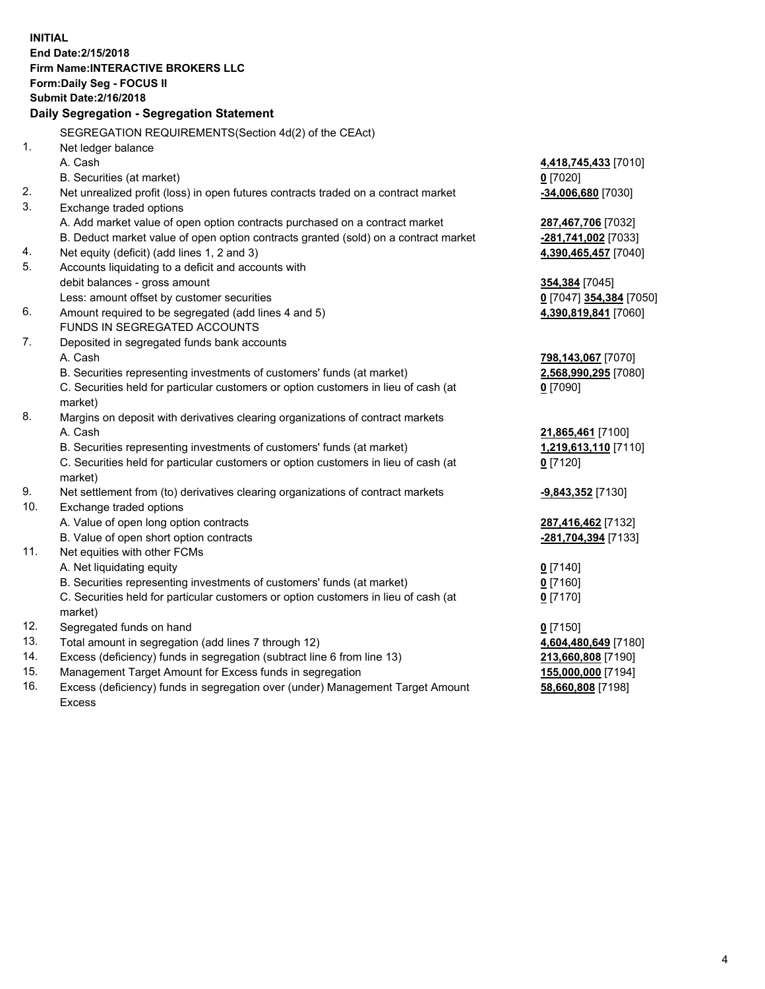**INITIAL End Date:2/15/2018 Firm Name:INTERACTIVE BROKERS LLC Form:Daily Seg - FOCUS II Submit Date:2/16/2018 Daily Segregation - Segregation Statement** SEGREGATION REQUIREMENTS(Section 4d(2) of the CEAct) 1. Net ledger balance A. Cash **4,418,745,433** [7010] B. Securities (at market) **0** [7020] 2. Net unrealized profit (loss) in open futures contracts traded on a contract market **-34,006,680** [7030] 3. Exchange traded options A. Add market value of open option contracts purchased on a contract market **287,467,706** [7032] B. Deduct market value of open option contracts granted (sold) on a contract market **-281,741,002** [7033] 4. Net equity (deficit) (add lines 1, 2 and 3) **4,390,465,457** [7040] 5. Accounts liquidating to a deficit and accounts with debit balances - gross amount **354,384** [7045] Less: amount offset by customer securities **0** [7047] **354,384** [7050] 6. Amount required to be segregated (add lines 4 and 5) **4,390,819,841** [7060] FUNDS IN SEGREGATED ACCOUNTS 7. Deposited in segregated funds bank accounts A. Cash **798,143,067** [7070] B. Securities representing investments of customers' funds (at market) **2,568,990,295** [7080] C. Securities held for particular customers or option customers in lieu of cash (at market) **0** [7090] 8. Margins on deposit with derivatives clearing organizations of contract markets A. Cash **21,865,461** [7100] B. Securities representing investments of customers' funds (at market) **1,219,613,110** [7110] C. Securities held for particular customers or option customers in lieu of cash (at market) **0** [7120] 9. Net settlement from (to) derivatives clearing organizations of contract markets **-9,843,352** [7130] 10. Exchange traded options A. Value of open long option contracts **287,416,462** [7132] B. Value of open short option contracts **-281,704,394** [7133] 11. Net equities with other FCMs A. Net liquidating equity **0** [7140] B. Securities representing investments of customers' funds (at market) **0** [7160] C. Securities held for particular customers or option customers in lieu of cash (at market) **0** [7170] 12. Segregated funds on hand **0** [7150] 13. Total amount in segregation (add lines 7 through 12) **4,604,480,649** [7180] 14. Excess (deficiency) funds in segregation (subtract line 6 from line 13) **213,660,808** [7190] 15. Management Target Amount for Excess funds in segregation **155,000,000** [7194]

16. Excess (deficiency) funds in segregation over (under) Management Target Amount Excess

**58,660,808** [7198]